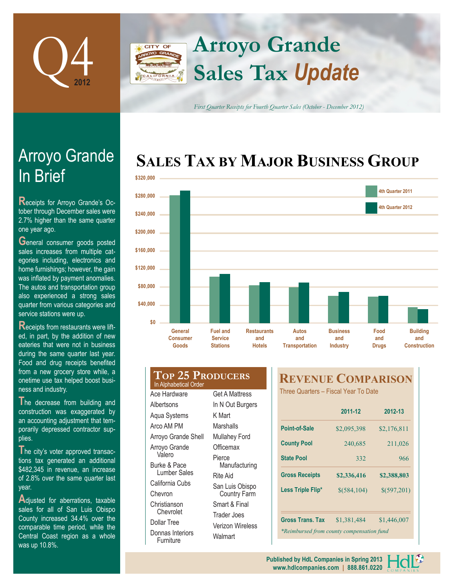

### **Arroyo Grande CITY OF Sales Tax** *Update*

*First Quarter Receipts for Fourth Quarter Sales (October - December 2012)*

## **SALES TAX BY MAJOR BUSINESS GROUP**



# In Brief Arroyo Grande

**R**eceipts for Arroyo Grande's October through December sales were 2.7% higher than the same quarter one year ago.

**General consumer goods posted** sales increases from multiple categories including, electronics and home furnishings; however, the gain was inflated by payment anomalies. The autos and transportation group also experienced a strong sales quarter from various categories and service stations were up.

**R**eceipts from restaurants were lifted, in part, by the addition of new eateries that were not in business during the same quarter last year. Food and drug receipts benefited from a new grocery store while, a onetime use tax helped boost business and industry.

**T**he decrease from building and construction was exaggerated by an accounting adjustment that temporarily depressed contractor supplies.

**T**he city's voter approved transactions tax generated an additional \$482,345 in revenue, an increase of 2.8% over the same quarter last year.

Adjusted for aberrations, taxable sales for all of San Luis Obispo County increased 34.4% over the comparable time period, while the Central Coast region as a whole was up 10.8%.

#### **Top 25 Producers** In Alphabetical Order Ace Hardware Get A Mattress

**Albertsons** Aqua Systems Arco AM PM Arroyo Grande Shell Arroyo Grande Valero Burke & Pace Lumber Sales California Cubs Chevron **Christianson** Chevrolet Dollar Tree Donnas Interiors **Furniture** 

In N Out Burgers K Mart Marshalls Mullahey Ford **Officemax** Pierce Manufacturing Rite Aid San Luis Obispo Country Farm Smart & Final Trader Joes Verizon Wireless **Walmart** 

### **REVENUE COMPARISON**

Three Quarters – Fiscal Year To Date

| 2011-12                                   | 2012-13     |  |  |  |  |
|-------------------------------------------|-------------|--|--|--|--|
| \$2,095,398                               | \$2,176,811 |  |  |  |  |
| 240,685                                   | 211,026     |  |  |  |  |
| 332                                       | 966         |  |  |  |  |
| \$2,336,416                               | \$2,388,803 |  |  |  |  |
| \$(584, 104)                              | \$(597,201) |  |  |  |  |
|                                           |             |  |  |  |  |
| \$1,381,484                               | \$1,446,007 |  |  |  |  |
| *Reimbursed from county compensation fund |             |  |  |  |  |
|                                           |             |  |  |  |  |